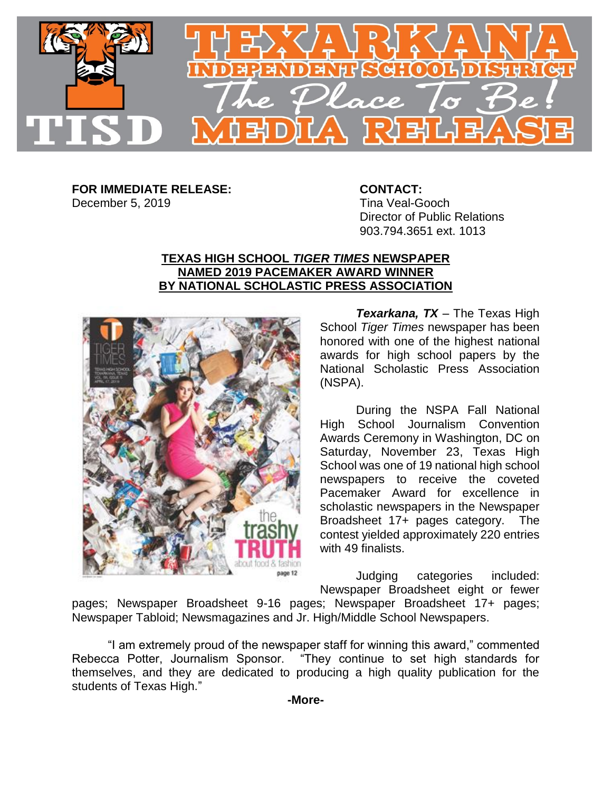

**FOR IMMEDIATE RELEASE: CONTACT:** December 5, 2019 Tina Veal-Gooch

## Director of Public Relations 903.794.3651 ext. 1013

## **TEXAS HIGH SCHOOL** *TIGER TIMES* **NEWSPAPER NAMED 2019 PACEMAKER AWARD WINNER BY NATIONAL SCHOLASTIC PRESS ASSOCIATION**



*Texarkana, TX* – The Texas High School *Tiger Times* newspaper has been honored with one of the highest national awards for high school papers by the National Scholastic Press Association (NSPA).

During the NSPA Fall National High School Journalism Convention Awards Ceremony in Washington, DC on Saturday, November 23, Texas High School was one of 19 national high school newspapers to receive the coveted Pacemaker Award for excellence in scholastic newspapers in the Newspaper Broadsheet 17+ pages category. The contest yielded approximately 220 entries with 49 finalists.

Judging categories included: Newspaper Broadsheet eight or fewer

pages; Newspaper Broadsheet 9-16 pages; Newspaper Broadsheet 17+ pages; Newspaper Tabloid; Newsmagazines and Jr. High/Middle School Newspapers.

"I am extremely proud of the newspaper staff for winning this award," commented Rebecca Potter, Journalism Sponsor. "They continue to set high standards for themselves, and they are dedicated to producing a high quality publication for the students of Texas High."